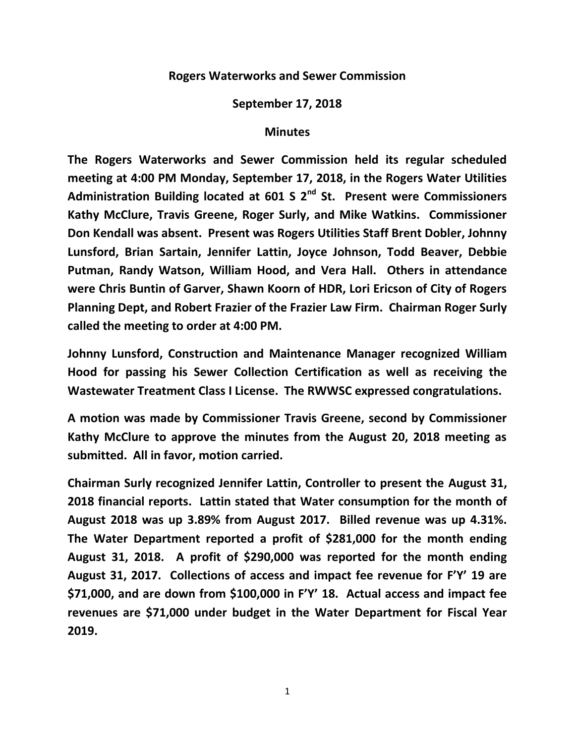## **Rogers Waterworks and Sewer Commission**

## **September 17, 2018**

## **Minutes**

**The Rogers Waterworks and Sewer Commission held its regular scheduled meeting at 4:00 PM Monday, September 17, 2018, in the Rogers Water Utilities Administration Building located at 601 S 2nd St. Present were Commissioners Kathy McClure, Travis Greene, Roger Surly, and Mike Watkins. Commissioner Don Kendall was absent. Present was Rogers Utilities Staff Brent Dobler, Johnny Lunsford, Brian Sartain, Jennifer Lattin, Joyce Johnson, Todd Beaver, Debbie Putman, Randy Watson, William Hood, and Vera Hall. Others in attendance were Chris Buntin of Garver, Shawn Koorn of HDR, Lori Ericson of City of Rogers Planning Dept, and Robert Frazier of the Frazier Law Firm. Chairman Roger Surly called the meeting to order at 4:00 PM.**

**Johnny Lunsford, Construction and Maintenance Manager recognized William Hood for passing his Sewer Collection Certification as well as receiving the Wastewater Treatment Class I License. The RWWSC expressed congratulations.**

**A motion was made by Commissioner Travis Greene, second by Commissioner Kathy McClure to approve the minutes from the August 20, 2018 meeting as submitted. All in favor, motion carried.**

**Chairman Surly recognized Jennifer Lattin, Controller to present the August 31, 2018 financial reports. Lattin stated that Water consumption for the month of August 2018 was up 3.89% from August 2017. Billed revenue was up 4.31%. The Water Department reported a profit of \$281,000 for the month ending August 31, 2018. A profit of \$290,000 was reported for the month ending August 31, 2017. Collections of access and impact fee revenue for F'Y' 19 are \$71,000, and are down from \$100,000 in F'Y' 18. Actual access and impact fee revenues are \$71,000 under budget in the Water Department for Fiscal Year 2019.**

1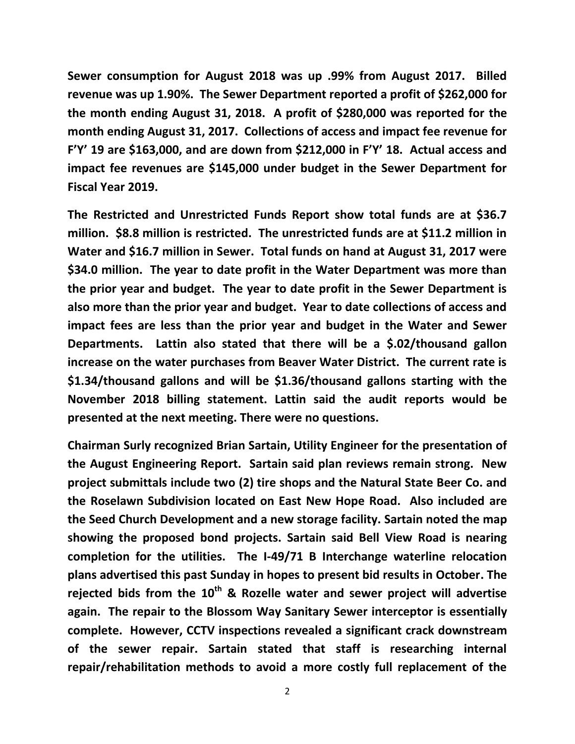**Sewer consumption for August 2018 was up .99% from August 2017. Billed revenue was up 1.90%. The Sewer Department reported a profit of \$262,000 for the month ending August 31, 2018. A profit of \$280,000 was reported for the month ending August 31, 2017. Collections of access and impact fee revenue for F'Y' 19 are \$163,000, and are down from \$212,000 in F'Y' 18. Actual access and impact fee revenues are \$145,000 under budget in the Sewer Department for Fiscal Year 2019.**

**The Restricted and Unrestricted Funds Report show total funds are at \$36.7 million. \$8.8 million is restricted. The unrestricted funds are at \$11.2 million in Water and \$16.7 million in Sewer. Total funds on hand at August 31, 2017 were \$34.0 million. The year to date profit in the Water Department was more than the prior year and budget. The year to date profit in the Sewer Department is also more than the prior year and budget. Year to date collections of access and impact fees are less than the prior year and budget in the Water and Sewer Departments. Lattin also stated that there will be a \$.02/thousand gallon increase on the water purchases from Beaver Water District. The current rate is \$1.34/thousand gallons and will be \$1.36/thousand gallons starting with the November 2018 billing statement. Lattin said the audit reports would be presented at the next meeting. There were no questions.**

**Chairman Surly recognized Brian Sartain, Utility Engineer for the presentation of the August Engineering Report. Sartain said plan reviews remain strong. New project submittals include two (2) tire shops and the Natural State Beer Co. and the Roselawn Subdivision located on East New Hope Road. Also included are the Seed Church Development and a new storage facility. Sartain noted the map showing the proposed bond projects. Sartain said Bell View Road is nearing completion for the utilities. The I-49/71 B Interchange waterline relocation plans advertised this past Sunday in hopes to present bid results in October. The rejected bids from the 10th & Rozelle water and sewer project will advertise again. The repair to the Blossom Way Sanitary Sewer interceptor is essentially complete. However, CCTV inspections revealed a significant crack downstream of the sewer repair. Sartain stated that staff is researching internal repair/rehabilitation methods to avoid a more costly full replacement of the**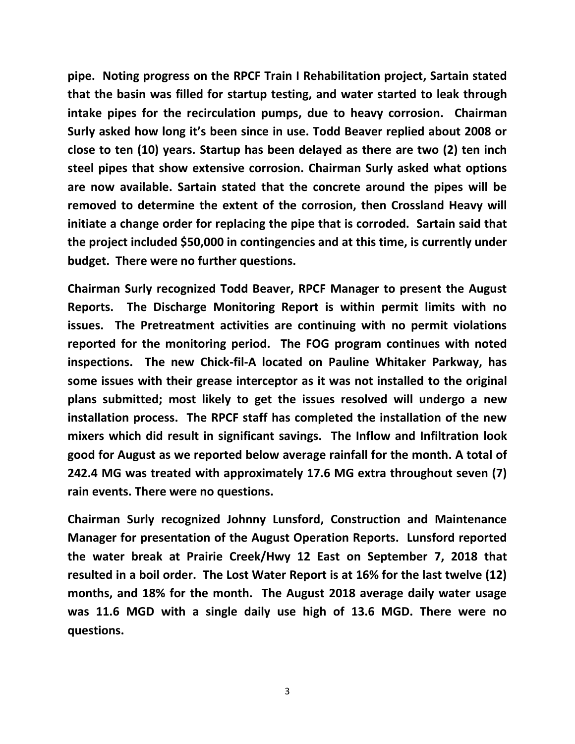**pipe. Noting progress on the RPCF Train I Rehabilitation project, Sartain stated that the basin was filled for startup testing, and water started to leak through intake pipes for the recirculation pumps, due to heavy corrosion. Chairman Surly asked how long it's been since in use. Todd Beaver replied about 2008 or close to ten (10) years. Startup has been delayed as there are two (2) ten inch steel pipes that show extensive corrosion. Chairman Surly asked what options are now available. Sartain stated that the concrete around the pipes will be removed to determine the extent of the corrosion, then Crossland Heavy will initiate a change order for replacing the pipe that is corroded. Sartain said that the project included \$50,000 in contingencies and at this time, is currently under budget. There were no further questions.**

**Chairman Surly recognized Todd Beaver, RPCF Manager to present the August Reports. The Discharge Monitoring Report is within permit limits with no issues. The Pretreatment activities are continuing with no permit violations reported for the monitoring period. The FOG program continues with noted inspections. The new Chick-fil-A located on Pauline Whitaker Parkway, has some issues with their grease interceptor as it was not installed to the original plans submitted; most likely to get the issues resolved will undergo a new installation process. The RPCF staff has completed the installation of the new mixers which did result in significant savings. The Inflow and Infiltration look good for August as we reported below average rainfall for the month. A total of 242.4 MG was treated with approximately 17.6 MG extra throughout seven (7) rain events. There were no questions.**

**Chairman Surly recognized Johnny Lunsford, Construction and Maintenance Manager for presentation of the August Operation Reports. Lunsford reported the water break at Prairie Creek/Hwy 12 East on September 7, 2018 that resulted in a boil order. The Lost Water Report is at 16% for the last twelve (12) months, and 18% for the month. The August 2018 average daily water usage was 11.6 MGD with a single daily use high of 13.6 MGD. There were no questions.**

3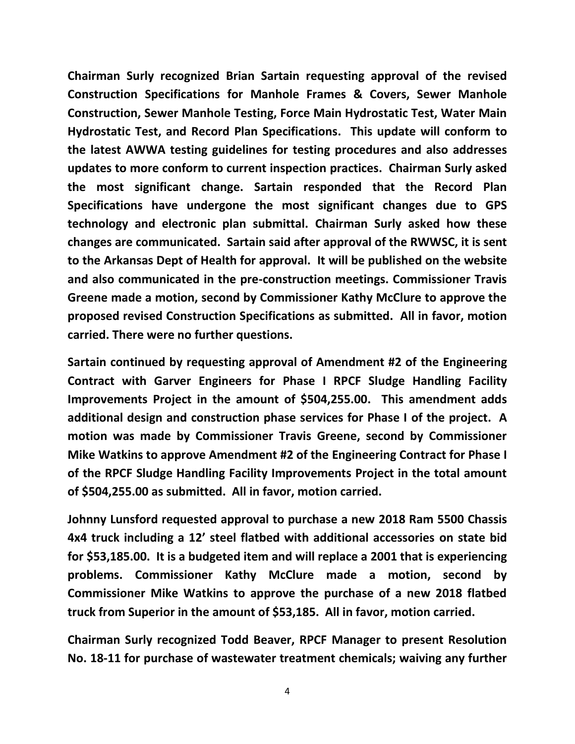**Chairman Surly recognized Brian Sartain requesting approval of the revised Construction Specifications for Manhole Frames & Covers, Sewer Manhole Construction, Sewer Manhole Testing, Force Main Hydrostatic Test, Water Main Hydrostatic Test, and Record Plan Specifications. This update will conform to the latest AWWA testing guidelines for testing procedures and also addresses updates to more conform to current inspection practices. Chairman Surly asked the most significant change. Sartain responded that the Record Plan Specifications have undergone the most significant changes due to GPS technology and electronic plan submittal. Chairman Surly asked how these changes are communicated. Sartain said after approval of the RWWSC, it is sent to the Arkansas Dept of Health for approval. It will be published on the website and also communicated in the pre-construction meetings. Commissioner Travis Greene made a motion, second by Commissioner Kathy McClure to approve the proposed revised Construction Specifications as submitted. All in favor, motion carried. There were no further questions.**

**Sartain continued by requesting approval of Amendment #2 of the Engineering Contract with Garver Engineers for Phase I RPCF Sludge Handling Facility Improvements Project in the amount of \$504,255.00. This amendment adds additional design and construction phase services for Phase I of the project. A motion was made by Commissioner Travis Greene, second by Commissioner Mike Watkins to approve Amendment #2 of the Engineering Contract for Phase I of the RPCF Sludge Handling Facility Improvements Project in the total amount of \$504,255.00 as submitted. All in favor, motion carried.**

**Johnny Lunsford requested approval to purchase a new 2018 Ram 5500 Chassis 4x4 truck including a 12' steel flatbed with additional accessories on state bid for \$53,185.00. It is a budgeted item and will replace a 2001 that is experiencing problems. Commissioner Kathy McClure made a motion, second by Commissioner Mike Watkins to approve the purchase of a new 2018 flatbed truck from Superior in the amount of \$53,185. All in favor, motion carried.**

**Chairman Surly recognized Todd Beaver, RPCF Manager to present Resolution No. 18-11 for purchase of wastewater treatment chemicals; waiving any further**